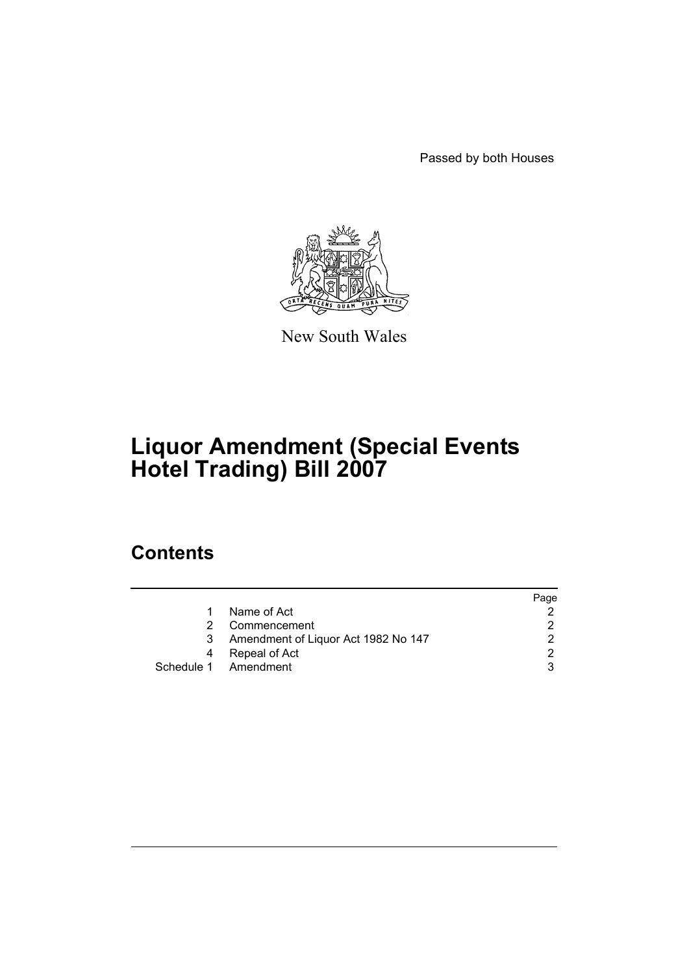Passed by both Houses



New South Wales

# **Liquor Amendment (Special Events Hotel Trading) Bill 2007**

### **Contents**

|    |                                     | Page |
|----|-------------------------------------|------|
| 1. | Name of Act                         |      |
| 2  | Commencement                        |      |
| 3  | Amendment of Liquor Act 1982 No 147 |      |
| 4  | Repeal of Act                       |      |
|    | Schedule 1 Amendment                |      |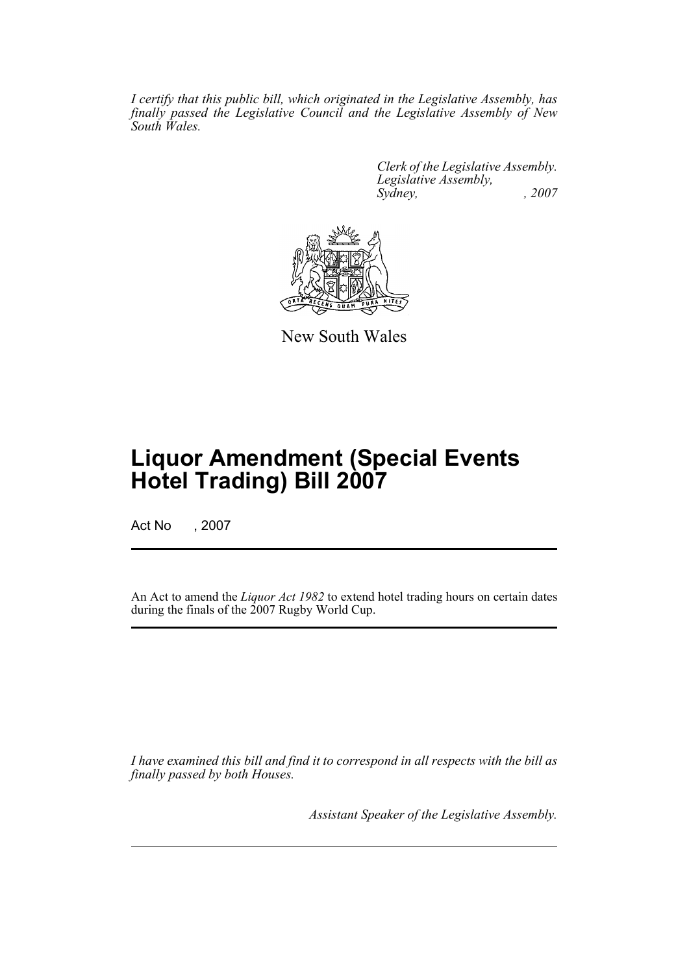*I certify that this public bill, which originated in the Legislative Assembly, has finally passed the Legislative Council and the Legislative Assembly of New South Wales.*

> *Clerk of the Legislative Assembly. Legislative Assembly, Sydney, , 2007*



New South Wales

## **Liquor Amendment (Special Events Hotel Trading) Bill 2007**

Act No , 2007

An Act to amend the *Liquor Act 1982* to extend hotel trading hours on certain dates during the finals of the 2007 Rugby World Cup.

*I have examined this bill and find it to correspond in all respects with the bill as finally passed by both Houses.*

*Assistant Speaker of the Legislative Assembly.*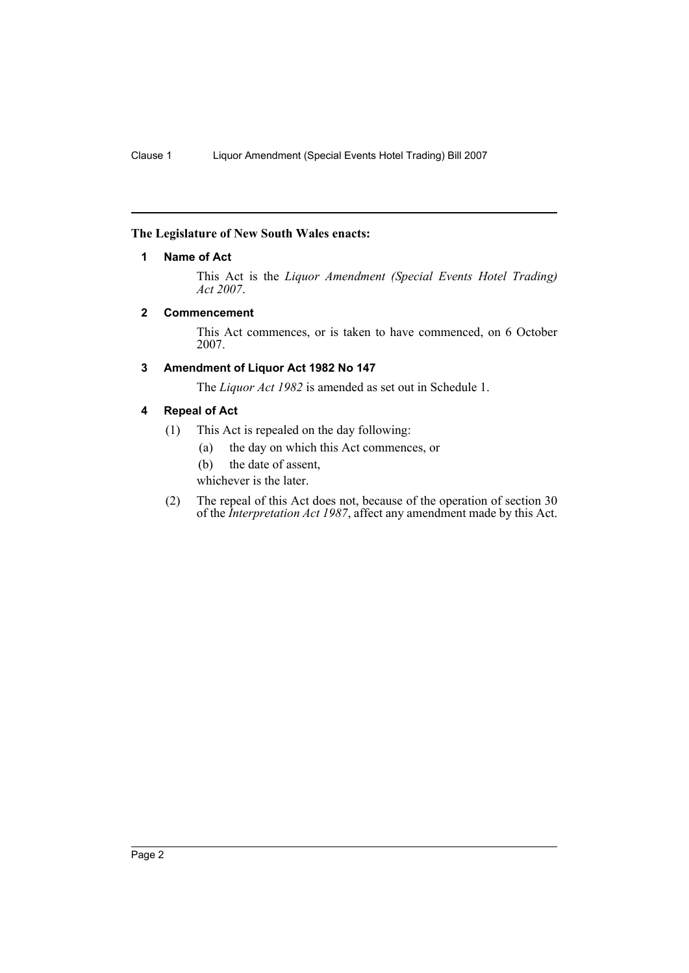#### <span id="page-2-0"></span>**The Legislature of New South Wales enacts:**

#### **1 Name of Act**

This Act is the *Liquor Amendment (Special Events Hotel Trading) Act 2007*.

#### <span id="page-2-1"></span>**2 Commencement**

This Act commences, or is taken to have commenced, on 6 October 2007.

#### <span id="page-2-2"></span>**3 Amendment of Liquor Act 1982 No 147**

The *Liquor Act 1982* is amended as set out in Schedule 1.

#### <span id="page-2-3"></span>**4 Repeal of Act**

- (1) This Act is repealed on the day following:
	- (a) the day on which this Act commences, or
	- (b) the date of assent,

whichever is the later.

(2) The repeal of this Act does not, because of the operation of section 30 of the *Interpretation Act 1987*, affect any amendment made by this Act.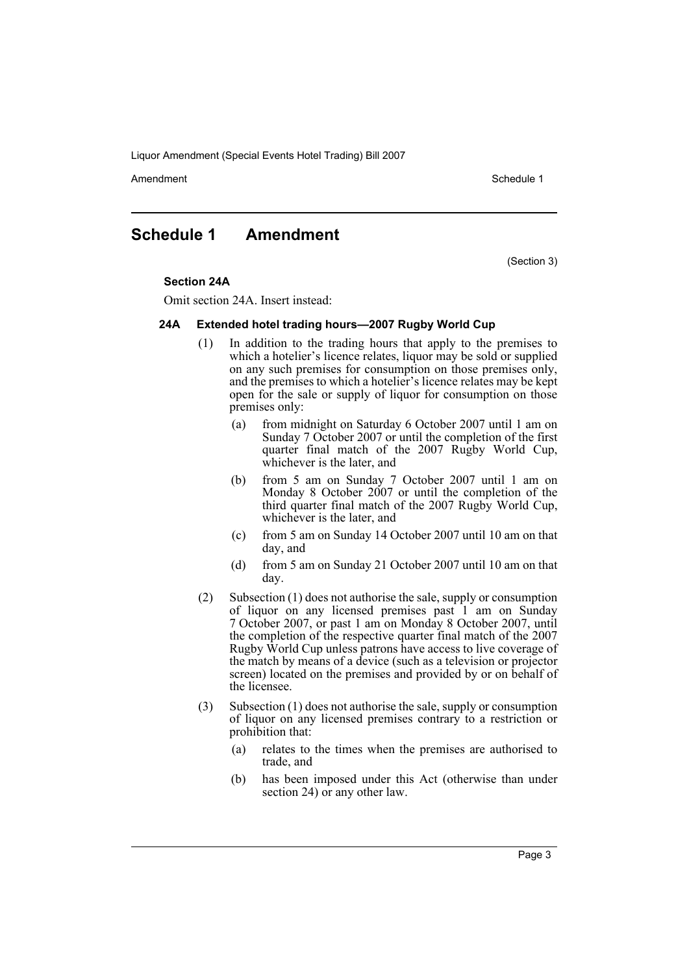Liquor Amendment (Special Events Hotel Trading) Bill 2007

Amendment **Amendment** Schedule 1

### <span id="page-3-0"></span>**Schedule 1 Amendment**

(Section 3)

#### **Section 24A**

Omit section 24A. Insert instead:

#### **24A Extended hotel trading hours—2007 Rugby World Cup**

- (1) In addition to the trading hours that apply to the premises to which a hotelier's licence relates, liquor may be sold or supplied on any such premises for consumption on those premises only, and the premises to which a hotelier's licence relates may be kept open for the sale or supply of liquor for consumption on those premises only:
	- (a) from midnight on Saturday 6 October 2007 until 1 am on Sunday 7 October 2007 or until the completion of the first quarter final match of the 2007 Rugby World Cup, whichever is the later, and
	- (b) from 5 am on Sunday 7 October 2007 until 1 am on Monday 8 October 2007 or until the completion of the third quarter final match of the 2007 Rugby World Cup, whichever is the later, and
	- (c) from 5 am on Sunday 14 October 2007 until 10 am on that day, and
	- (d) from 5 am on Sunday 21 October 2007 until 10 am on that day.
- (2) Subsection (1) does not authorise the sale, supply or consumption of liquor on any licensed premises past 1 am on Sunday 7 October 2007, or past 1 am on Monday 8 October 2007, until the completion of the respective quarter final match of the 2007 Rugby World Cup unless patrons have access to live coverage of the match by means of a device (such as a television or projector screen) located on the premises and provided by or on behalf of the licensee.
- (3) Subsection (1) does not authorise the sale, supply or consumption of liquor on any licensed premises contrary to a restriction or prohibition that:
	- (a) relates to the times when the premises are authorised to trade, and
	- (b) has been imposed under this Act (otherwise than under section 24) or any other law.